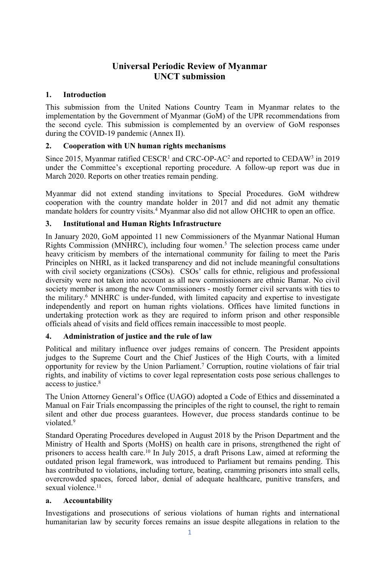# **Universal Periodic Review of Myanmar UNCT submission**

### **1. Introduction**

This submission from the United Nations Country Team in Myanmar relates to the implementation by the Government of Myanmar (GoM) of the UPR recommendations from the second cycle. This submission is complemented by an overview of GoM responses during the COVID-19 pandemic (Annex II).

## **2. Cooperation with UN human rights mechanisms**

Since 2015, Myanmar ratified  $\text{CESCR}^1$  and  $\text{CRC-OP-AC}^2$  and reported to  $\text{CEDAW}^3$  in 2019 under the Committee'<sup>s</sup> exceptional reporting procedure. A follow-up repor<sup>t</sup> was due in March 2020. Reports on other treaties remain pending.

Myanmar did not extend standing invitations to Special Procedures. GoM withdrew cooperation with the country mandate holder in 2017 and did not admit any thematic mandate holders for country visits. <sup>4</sup> Myanmar also did not allow OHCHR to open an office.

### **3. Institutional and Human Rights Infrastructure**

In January 2020, GoM appointed 11 new Commissioners of the Myanmar National Human Rights Commission (MNHRC), including four women. 5 The selection process came under heavy criticism by members of the international community for failing to meet the Paris Principles on NHRI, as it lacked transparency and did not include meaningful consultations with civil society organizations (CSOs). CSOs' calls for ethnic, religious and professional diversity were not taken into account as all new commissioners are ethnic Bamar. No civil society member is among the new Commissioners - mostly former civil servants with ties to the military. <sup>6</sup> MNHRC is under-funded, with limited capacity and expertise to investigate independently and repor<sup>t</sup> on human rights violations. Offices have limited functions in undertaking protection work as they are required to inform prison and other responsible officials ahead of visits and field offices remain inaccessible to most people.

### **4. Administration of justice and the rule of law**

Political and military influence over judges remains of concern. The President appoints judges to the Supreme Court and the Chief Justices of the High Courts, with <sup>a</sup> limited opportunity for review by the Union Parliament. <sup>7</sup> Corruption, routine violations of fair trial rights, and inability of victims to cover legal representation costs pose serious challenges to access to justice. 8

The Union Attorney General'<sup>s</sup> Office (UAGO) adopted <sup>a</sup> Code of Ethics and disseminated <sup>a</sup> Manual on Fair Trials encompassing the principles of the right to counsel, the right to remain silent and other due process guarantees. However, due process standards continue to be violated. 9

Standard Operating Procedures developed in August 2018 by the Prison Department and the Ministry of Health and Sports (MoHS) on health care in prisons, strengthened the right of prisoners to access health care.<sup>10</sup> In July 2015, a draft Prisons Law, aimed at reforming the outdated prison legal framework, was introduced to Parliament but remains pending. This has contributed to violations, including torture, beating, cramming prisoners into small cells, overcrowded spaces, forced labor, denial of adequate healthcare, punitive transfers, and sexual violence. 11

### **a. Accountability**

Investigations and prosecutions of serious violations of human rights and international humanitarian law by security forces remains an issue despite allegations in relation to the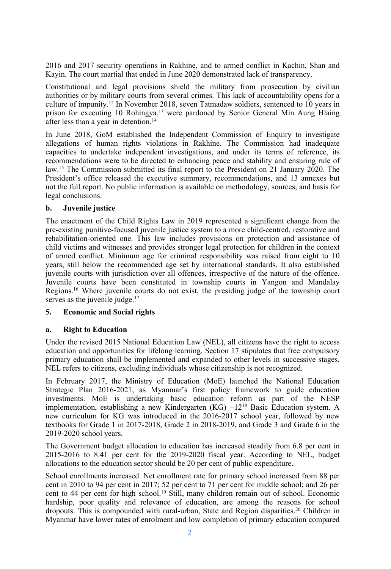2016 and 2017 security operations in Rakhine, and to armed conflict in Kachin, Shan and Kayin. The court martial that ended in June 2020 demonstrated lack of transparency.

Constitutional and legal provisions shield the military from prosecution by civilian authorities or by military courts from several crimes. This lack of accountability opens for <sup>a</sup> culture of impunity. 12 In November 2018, seven Tatmadaw soldiers, sentenced to 10 years in prison for executing 10 Rohingya, <sup>13</sup> were pardoned by Senior General Min Aung Hlaing after less than <sup>a</sup> year in detention. 14

In June 2018, GoM established the Independent Commission of Enquiry to investigate allegations of human rights violations in Rakhine. The Commission had inadequate capacities to undertake independent investigations, and under its terms of reference, its recommendations were to be directed to enhancing peace and stability and ensuring rule of law.<sup>15</sup> The Commission submitted its final report to the President on 21 January 2020. The President'<sup>s</sup> office released the executive summary, recommendations, and 13 annexes but not the full report. No public information is available on methodology, sources, and basis for legal conclusions.

### **b. Juvenile justice**

The enactment of the Child Rights Law in 2019 represented <sup>a</sup> significant change from the pre-existing punitive-focused juvenile justice system to <sup>a</sup> more child-centred, restorative and rehabilitation-oriented one. This law includes provisions on protection and assistance of child victims and witnesses and provides stronger legal protection for children in the context of armed conflict. Minimum age for criminal responsibility was raised from eight to 10 years, still below the recommended age set by international standards. It also established juvenile courts with jurisdiction over all offences, irrespective of the nature of the offence. Juvenile courts have been constituted in township courts in Yangon and Mandalay Regions. <sup>16</sup> Where juvenile courts do not exist, the presiding judge of the township court serves as the juvenile judge.<sup>17</sup>

### **5. Economic and Social rights**

#### **a. Right to Education**

Under the revised 2015 National Education Law (NEL), all citizens have the right to access education and opportunities for lifelong learning. Section 17 stipulates that free compulsory primary education shall be implemented and expanded to other levels in successive stages. NEL refers to citizens, excluding individuals whose citizenship is not recognized.

In February 2017, the Ministry of Education (MoE) launched the National Education Strategic Plan 2016-2021, as Myanmar'<sup>s</sup> first policy framework to guide education investments. MoE is undertaking basic education reform as par<sup>t</sup> of the NESP implementation, establishing <sup>a</sup> new Kindergarten (KG) +12<sup>18</sup> Basic Education system. <sup>A</sup> new curriculum for KG was introduced in the 2016-2017 school year, followed by new textbooks for Grade 1 in 2017-2018, Grade 2 in 2018-2019, and Grade 3 and Grade 6 in the 2019-2020 school years.

The Government budget allocation to education has increased steadily from 6.8 per cent in 2015-2016 to 8.41 per cent for the 2019-2020 fiscal year. According to NEL, budget allocations to the education sector should be 20 per cent of public expenditure.

School enrollments increased. Net enrollment rate for primary school increased from 88 per cent in 2010 to 94 per cent in 2017; 52 per cent to 71 per cent for middle school; and 26 per cent to 44 per cent for high school. 19 Still, many children remain out of school. Economic hardship, poor quality and relevance of education, are among the reasons for school dropouts. This is compounded with rural-urban, State and Region disparities. <sup>20</sup> Children in Myanmar have lower rates of enrolment and low completion of primary education compared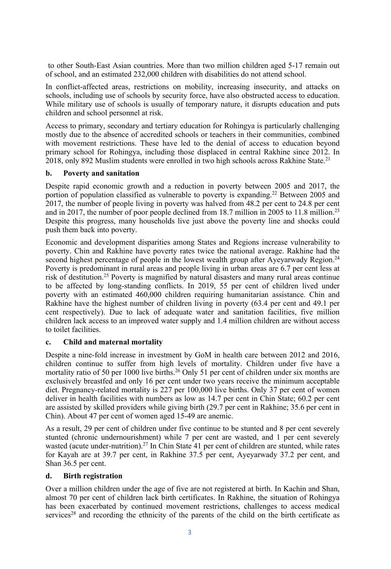to other South-East Asian countries. More than two million children aged 5-17 remain out of school, and an estimated 232,000 children with disabilities do not attend school.

In conflict-affected areas, restrictions on mobility, increasing insecurity, and attacks on schools, including use of schools by security force, have also obstructed access to education. While military use of schools is usually of temporary nature, it disrupts education and puts children and school personnel at risk.

Access to primary, secondary and tertiary education for Rohingya is particularly challenging mostly due to the absence of accredited schools or teachers in their communities, combined with movement restrictions. These have led to the denial of access to education beyond primary school for Rohingya, including those displaced in central Rakhine since 2012. In 2018, only 892 Muslim students were enrolled in two high schools across Rakhine State. 21

#### **b. Poverty and sanitation**

Despite rapid economic growth and <sup>a</sup> reduction in poverty between 2005 and 2017, the portion of population classified as vulnerable to poverty is expanding. <sup>22</sup> Between 2005 and 2017, the number of people living in poverty was halved from 48.2 per cent to 24.8 per cent and in 2017, the number of poor people declined from 18.7 million in 2005 to 11.8 million.<sup>23</sup> Despite this progress, many households live just above the poverty line and shocks could push them back into poverty.

Economic and development disparities among States and Regions increase vulnerability to poverty. Chin and Rakhine have poverty rates twice the national average. Rakhine had the second highest percentage of people in the lowest wealth group after Ayeyarwady Region.<sup>24</sup> Poverty is predominant in rural areas and people living in urban areas are 6.7 per cent less at risk of destitution. 25 Poverty is magnified by natural disasters and many rural areas continue to be affected by long-standing conflicts. In 2019, 55 per cent of children lived under poverty with an estimated 460,000 children requiring humanitarian assistance. Chin and Rakhine have the highest number of children living in poverty (63.4 per cent and 49.1 per cent respectively). Due to lack of adequate water and sanitation facilities, five million children lack access to an improved water supply and 1.4 million children are without access to toilet facilities.

### **c. Child and maternal mortality**

Despite <sup>a</sup> nine-fold increase in investment by GoM in health care between 2012 and 2016, children continue to suffer from high levels of mortality. Children under five have <sup>a</sup> mortality ratio of 50 per 1000 live births. <sup>26</sup> Only 51 per cent of children under six months are exclusively breastfed and only 16 per cent under two years receive the minimum acceptable diet. Pregnancy-related mortality is 227 per 100,000 live births. Only 37 per cent of women deliver in health facilities with numbers as low as 14.7 per cent in Chin State; 60.2 per cent are assisted by skilled providers while giving birth (29.7 per cent in Rakhine; 35.6 per cent in Chin). About 47 per cent of women aged 15-49 are anemic.

As <sup>a</sup> result, 29 per cent of children under five continue to be stunted and 8 per cent severely stunted (chronic undernourishment) while 7 per cent are wasted, and 1 per cent severely wasted (acute under-nutrition).<sup>27</sup> In Chin State 41 per cent of children are stunted, while rates for Kayah are at 39.7 per cent, in Rakhine 37.5 per cent, Ayeyarwady 37.2 per cent, and Shan 36.5 per cent.

### **d. Birth registration**

Over <sup>a</sup> million children under the age of five are not registered at birth. In Kachin and Shan, almost 70 per cent of children lack birth certificates. In Rakhine, the situation of Rohingya has been exacerbated by continued movement restrictions, challenges to access medical services<sup>28</sup> and recording the ethnicity of the parents of the child on the birth certificate as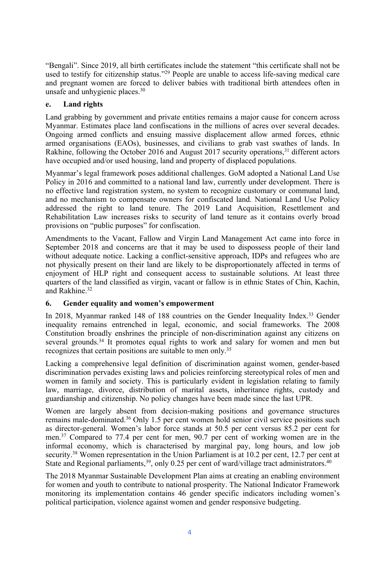"Bengali". Since 2019, all birth certificates include the statement "this certificate shall not be used to testify for citizenship status."<sup>29</sup> People are unable to access life-saving medical care and pregnan<sup>t</sup> women are forced to deliver babies with traditional birth attendees often in unsafe and unhygienic places. 30

### **e. Land rights**

Land grabbing by governmen<sup>t</sup> and private entities remains <sup>a</sup> major cause for concern across Myanmar. Estimates place land confiscations in the millions of acres over several decades. Ongoing armed conflicts and ensuing massive displacement allow armed forces, ethnic armed organisations (EAOs), businesses, and civilians to grab vast swathes of lands. In Rakhine, following the October 2016 and August 2017 security operations,<sup>31</sup> different actors have occupied and/or used housing, land and property of displaced populations.

Myanmar'<sup>s</sup> legal framework poses additional challenges. GoM adopted <sup>a</sup> National Land Use Policy in 2016 and committed to <sup>a</sup> national land law, currently under development. There is no effective land registration system, no system to recognize customary or communal land, and no mechanism to compensate owners for confiscated land. National Land Use Policy addressed the right to land tenure. The 2019 Land Acquisition, Resettlement and Rehabilitation Law increases risks to security of land tenure as it contains overly broad provisions on "public purposes" for confiscation.

Amendments to the Vacant, Fallow and Virgin Land Management Act came into force in September 2018 and concerns are that it may be used to dispossess people of their land without adequate notice. Lacking <sup>a</sup> conflict-sensitive approach, IDPs and refugees who are not physically presen<sup>t</sup> on their land are likely to be disproportionately affected in terms of enjoyment of HLP right and consequen<sup>t</sup> access to sustainable solutions. At least three quarters of the land classified as virgin, vacant or fallow is in ethnic States of Chin, Kachin, and Rakhine. 32

### **6. Gender equality and women'<sup>s</sup> empowermen<sup>t</sup>**

In 2018, Myanmar ranked 148 of 188 countries on the Gender Inequality Index. <sup>33</sup> Gender inequality remains entrenched in legal, economic, and social frameworks. The 2008 Constitution broadly enshrines the principle of non-discrimination against any citizens on several grounds. 34 It promotes equal rights to work and salary for women and men but recognizes that certain positions are suitable to men only. 35

Lacking <sup>a</sup> comprehensive legal definition of discrimination against women, gender-based discrimination pervades existing laws and policies reinforcing stereotypical roles of men and women in family and society. This is particularly evident in legislation relating to family law, marriage, divorce, distribution of marital assets, inheritance rights, custody and guardianship and citizenship. No policy changes have been made since the last UPR.

Women are largely absent from decision-making positions and governance structures remains male-dominated. <sup>36</sup> Only 1.5 per cent women hold senior civil service positions such as director-general. Women'<sup>s</sup> labor force stands at 50.5 per cent versus 85.2 per cent for men. <sup>37</sup> Compared to 77.4 per cent for men, 90.7 per cent of working women are in the informal economy, which is characterised by marginal pay, long hours, and low job security.<sup>38</sup> Women representation in the Union Parliament is at 10.2 per cent, 12.7 per cent at State and Regional parliaments,  $^{39}$ , only 0.25 per cent of ward/village tract administrators.  $^{40}$ 

The 2018 Myanmar Sustainable Development Plan aims at creating an enabling environment for women and youth to contribute to national prosperity. The National Indicator Framework monitoring its implementation contains 46 gender specific indicators including women'<sup>s</sup> political participation, violence against women and gender responsive budgeting.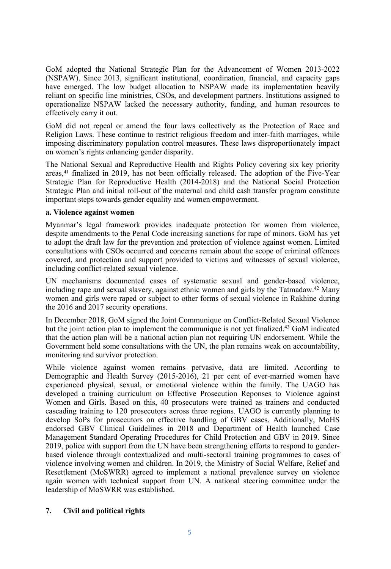GoM adopted the National Strategic Plan for the Advancement of Women 2013-2022 (NSPAW). Since 2013, significant institutional, coordination, financial, and capacity gaps have emerged. The low budget allocation to NSPAW made its implementation heavily reliant on specific line ministries, CSOs, and development partners. Institutions assigned to operationalize NSPAW lacked the necessary authority, funding, and human resources to effectively carry it out.

GoM did not repeal or amend the four laws collectively as the Protection of Race and Religion Laws. These continue to restrict religious freedom and inter-faith marriages, while imposing discriminatory population control measures. These laws disproportionately impact on women'<sup>s</sup> rights enhancing gender disparity.

The National Sexual and Reproductive Health and Rights Policy covering six key priority areas, 41 finalized in 2019, has not been officially released. The adoption of the Five-Year Strategic Plan for Reproductive Health (2014-2018) and the National Social Protection Strategic Plan and initial roll-out of the maternal and child cash transfer program constitute important steps towards gender equality and women empowerment.

#### **a. Violence against women**

Myanmar'<sup>s</sup> legal framework provides inadequate protection for women from violence, despite amendments to the Penal Code increasing sanctions for rape of minors. GoM has ye<sup>t</sup> to adopt the draft law for the prevention and protection of violence against women. Limited consultations with CSOs occurred and concerns remain about the scope of criminal offences covered, and protection and suppor<sup>t</sup> provided to victims and witnesses of sexual violence, including conflict-related sexual violence.

UN mechanisms documented cases of systematic sexual and gender-based violence, including rape and sexual slavery, against ethnic women and girls by the Tatmadaw. <sup>42</sup> Many women and girls were raped or subject to other forms of sexual violence in Rakhine during the 2016 and 2017 security operations.

In December 2018, GoM signed the Joint Communique on Conflict-Related Sexual Violence but the joint action plan to implement the communique is not ye<sup>t</sup> finalized. <sup>43</sup> GoM indicated that the action plan will be <sup>a</sup> national action plan not requiring UN endorsement. While the Government held some consultations with the UN, the plan remains weak on accountability, monitoring and survivor protection.

While violence against women remains pervasive, data are limited. According to Demographic and Health Survey (2015-2016), 21 per cent of ever-married women have experienced physical, sexual, or emotional violence within the family. The UAGO has developed <sup>a</sup> training curriculum on Effective Prosecution Reponses to Violence against Women and Girls. Based on this, 40 prosecutors were trained as trainers and conducted cascading training to 120 prosecutors across three regions. UAGO is currently planning to develop SoPs for prosecutors on effective handling of GBV cases. Additionally, MoHS endorsed GBV Clinical Guidelines in 2018 and Department of Health launched Case Management Standard Operating Procedures for Child Protection and GBV in 2019. Since 2019, police with suppor<sup>t</sup> from the UN have been strengthening efforts to respond to genderbased violence through contextualized and multi-sectoral training programmes to cases of violence involving women and children. In 2019, the Ministry of Social Welfare, Relief and Resettlement (MoSWRR) agreed to implement <sup>a</sup> national prevalence survey on violence again women with technical suppor<sup>t</sup> from UN. A national steering committee under the leadership of MoSWRR was established.

### **7. Civil and political rights**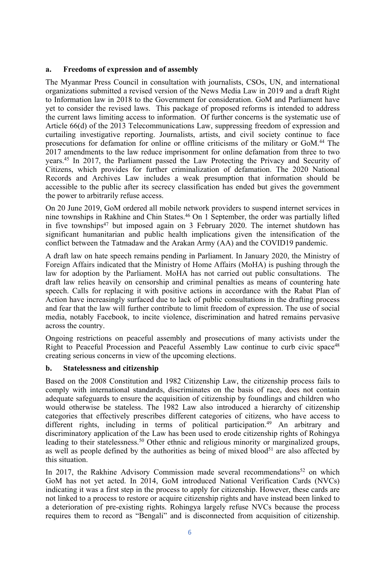### **a. Freedoms of expression and of assembly**

The Myanmar Press Council in consultation with journalists, CSOs, UN, and international organizations submitted <sup>a</sup> revised version of the News Media Law in 2019 and <sup>a</sup> draft Right to Information law in 2018 to the Government for consideration. GoM and Parliament have ye<sup>t</sup> to consider the revised laws. This package of proposed reforms is intended to address the current laws limiting access to information. Of further concerns is the systematic use of Article 66(d) of the 2013 Telecommunications Law, suppressing freedom of expression and curtailing investigative reporting. Journalists, artists, and civil society continue to face prosecutions for defamation for online or offline criticisms of the military or GoM. 44 The 2017 amendments to the law reduce imprisonment for online defamation from three to two years. 45 In 2017, the Parliament passed the Law Protecting the Privacy and Security of Citizens, which provides for further criminalization of defamation. The 2020 National Records and Archives Law includes <sup>a</sup> weak presumption that information should be accessible to the public after its secrecy classification has ended but gives the governmen<sup>t</sup> the power to arbitrarily refuse access.

On 20 June 2019, GoM ordered all mobile network providers to suspend internet services in nine townships in Rakhine and Chin States. <sup>46</sup> On <sup>1</sup> September, the order was partially lifted in five townships 47 but imposed again on 3 February 2020. The internet shutdown has significant humanitarian and public health implications given the intensification of the conflict between the Tatmadaw and the Arakan Army (AA) and the COVID19 pandemic.

A draft law on hate speech remains pending in Parliament. In January 2020, the Ministry of Foreign Affairs indicated that the Ministry of Home Affairs (MoHA) is pushing through the law for adoption by the Parliament. MoHA has not carried out public consultations. The draft law relies heavily on censorship and criminal penalties as means of countering hate speech. Calls for replacing it with positive actions in accordance with the Rabat Plan of Action have increasingly surfaced due to lack of public consultations in the drafting process and fear that the law will further contribute to limit freedom of expression. The use of social media, notably Facebook, to incite violence, discrimination and hatred remains pervasive across the country.

Ongoing restrictions on peaceful assembly and prosecutions of many activists under the Right to Peaceful Procession and Peaceful Assembly Law continue to curb civic space<sup>48</sup> creating serious concerns in view of the upcoming elections.

#### **b. Statelessness and citizenship**

Based on the 2008 Constitution and 1982 Citizenship Law, the citizenship process fails to comply with international standards, discriminates on the basis of race, does not contain adequate safeguards to ensure the acquisition of citizenship by foundlings and children who would otherwise be stateless. The 1982 Law also introduced <sup>a</sup> hierarchy of citizenship categories that effectively prescribes different categories of citizens, who have access to different rights, including in terms of political participation. <sup>49</sup> An arbitrary and discriminatory application of the Law has been used to erode citizenship rights of Rohingya leading to their statelessness. <sup>50</sup> Other ethnic and religious minority or marginalized groups, as well as people defined by the authorities as being of mixed blood<sup>51</sup> are also affected by this situation.

In 2017, the Rakhine Advisory Commission made several recommendations<sup>52</sup> on which GoM has not ye<sup>t</sup> acted. In 2014, GoM introduced National Verification Cards (NVCs) indicating it was <sup>a</sup> first step in the process to apply for citizenship. However, these cards are not linked to <sup>a</sup> process to restore or acquire citizenship rights and have instead been linked to <sup>a</sup> deterioration of pre-existing rights. Rohingya largely refuse NVCs because the process requires them to record as "Bengali" and is disconnected from acquisition of citizenship.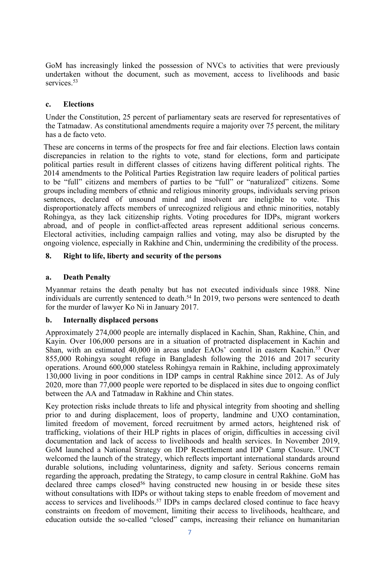GoM has increasingly linked the possession of NVCs to activities that were previously undertaken without the document, such as movement, access to livelihoods and basic services.<sup>53</sup>

### **c. Elections**

Under the Constitution, 25 percen<sup>t</sup> of parliamentary seats are reserved for representatives of the Tatmadaw. As constitutional amendments require <sup>a</sup> majority over 75 percent, the military has <sup>a</sup> de facto veto.

These are concerns in terms of the prospects for free and fair elections. Election laws contain discrepancies in relation to the rights to vote, stand for elections, form and participate political parties result in different classes of citizens having different political rights. The 2014 amendments to the Political Parties Registration law require leaders of political parties to be "full" citizens and members of parties to be "full" or "naturalized" citizens. Some groups including members of ethnic and religious minority groups, individuals serving prison sentences, declared of unsound mind and insolvent are ineligible to vote. This disproportionately affects members of unrecognized religious and ethnic minorities, notably Rohingya, as they lack citizenship rights. Voting procedures for IDPs, migrant workers abroad, and of people in conflict-affected areas represen<sup>t</sup> additional serious concerns. Electoral activities, including campaign rallies and voting, may also be disrupted by the ongoing violence, especially in Rakhine and Chin, undermining the credibility of the process.

### **8. Right to life, liberty and security of the persons**

### **a. Death Penalty**

Myanmar retains the death penalty but has not executed individuals since 1988. Nine individuals are currently sentenced to death. 54 In 2019, two persons were sentenced to death for the murder of lawyer Ko Ni in January 2017.

### **b. Internally displaced persons**

Approximately 274,000 people are internally displaced in Kachin, Shan, Rakhine, Chin, and Kayin. Over 106,000 persons are in <sup>a</sup> situation of protracted displacement in Kachin and Shan, with an estimated 40,000 in areas under EAOs' control in eastern Kachin.<sup>55</sup> Over 855,000 Rohingya sought refuge in Bangladesh following the 2016 and 2017 security operations. Around 600,000 stateless Rohingya remain in Rakhine, including approximately 130,000 living in poor conditions in IDP camps in central Rakhine since 2012. As of July 2020, more than 77,000 people were reported to be displaced in sites due to ongoing conflict between the AA and Tatmadaw in Rakhine and Chin states.

Key protection risks include threats to life and physical integrity from shooting and shelling prior to and during displacement, loos of property, landmine and UXO contamination, limited freedom of movement, forced recruitment by armed actors, heightened risk of trafficking, violations of their HLP rights in places of origin, difficulties in accessing civil documentation and lack of access to livelihoods and health services. In November 2019, GoM launched <sup>a</sup> National Strategy on IDP Resettlement and IDP Camp Closure. UNCT welcomed the launch of the strategy, which reflects important international standards around durable solutions, including voluntariness, dignity and safety. Serious concerns remain regarding the approach, predating the Strategy, to camp closure in central Rakhine. GoM has declared three camps closed<sup>56</sup> having constructed new housing in or beside these sites without consultations with IDPs or without taking steps to enable freedom of movement and access to services and livelihoods. 57 IDPs in camps declared closed continue to face heavy constraints on freedom of movement, limiting their access to livelihoods, healthcare, and education outside the so-called "closed" camps, increasing their reliance on humanitarian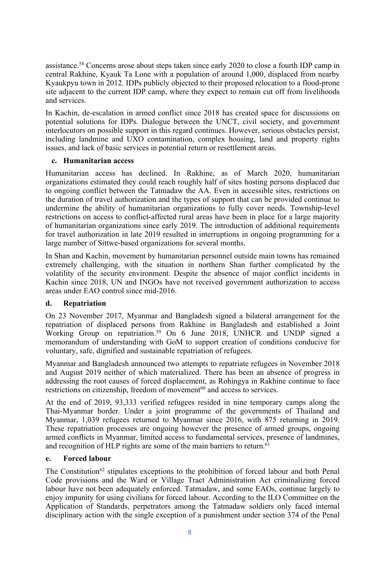assistance.<sup>58</sup> Concerns arose about steps taken since early 2020 to close a fourth IDP camp in central Rakhine, Kyauk Ta Lone with <sup>a</sup> population of around 1,000, displaced from nearby Kyaukpyu town in 2012. IDPs publicly objected to their proposed relocation to <sup>a</sup> flood-prone site adjacent to the current IDP camp, where they expec<sup>t</sup> to remain cut off from livelihoods and services.

In Kachin, de-escalation in armed conflict since 2018 has created space for discussions on potential solutions for IDPs. Dialogue between the UNCT, civil society, and governmen<sup>t</sup> interlocutors on possible suppor<sup>t</sup> in this regard continues. However, serious obstacles persist, including landmine and UXO contamination, complex housing, land and property rights issues, and lack of basic services in potential return or resettlement areas.

### **c. Humanitarian access**

Humanitarian access has declined. In Rakhine, as of March 2020, humanitarian organizations estimated they could reach roughly half of sites hosting persons displaced due to ongoing conflict between the Tatmadaw the AA. Even in accessible sites, restrictions on the duration of travel authorization and the types of suppor<sup>t</sup> that can be provided continue to undermine the ability of humanitarian organizations to fully cover needs. Township-level restrictions on access to conflict-affected rural areas have been in place for <sup>a</sup> large majority of humanitarian organizations since early 2019. The introduction of additional requirements for travel authorization in late 2019 resulted in interruptions in ongoing programming for <sup>a</sup> large number of Sittwe-based organizations for several months.

In Shan and Kachin, movement by humanitarian personnel outside main towns has remained extremely challenging, with the situation in northern Shan further complicated by the volatility of the security environment. Despite the absence of major conflict incidents in Kachin since 2018, UN and INGOs have not received governmen<sup>t</sup> authorization to access areas under EAO control since mid-2016.

### **d. Repatriation**

On 23 November 2017, Myanmar and Bangladesh signed <sup>a</sup> bilateral arrangemen<sup>t</sup> for the repatriation of displaced persons from Rakhine in Bangladesh and established <sup>a</sup> Joint Working Group on repatriation. <sup>59</sup> On 6 June 2018, UNHCR and UNDP signed <sup>a</sup> memorandum of understanding with GoM to suppor<sup>t</sup> creation of conditions conducive for voluntary, safe, dignified and sustainable repatriation of refugees.

Myanmar and Bangladesh announced two attempts to repatriate refugees in November 2018 and August 2019 neither of which materialized. There has been an absence of progress in addressing the root causes of forced displacement, as Rohingya in Rakhine continue to face restrictions on citizenship, freedom of movement<sup>60</sup> and access to services.

At the end of 2019, 93,333 verified refugees resided in nine temporary camps along the Thai-Myanmar border. Under <sup>a</sup> joint programme of the governments of Thailand and Myanmar, 1,039 refugees returned to Myanmar since 2016, with 875 returning in 2019. These repatriation processes are ongoing however the presence of armed groups, ongoing armed conflicts in Myanmar, limited access to fundamental services, presence of landmines, and recognition of HLP rights are some of the main barriers to return.<sup>61</sup>

### **e. Forced labour**

The Constitution<sup>62</sup> stipulates exceptions to the prohibition of forced labour and both Penal Code provisions and the Ward or Village Tract Administration Act criminalizing forced labour have not been adequately enforced. Tatmadaw, and some EAOs, continue largely to enjoy impunity for using civilians for forced labour. According to the ILO Committee on the Application of Standards, perpetrators among the Tatmadaw soldiers only faced internal disciplinary action with the single exception of <sup>a</sup> punishment under section 374 of the Penal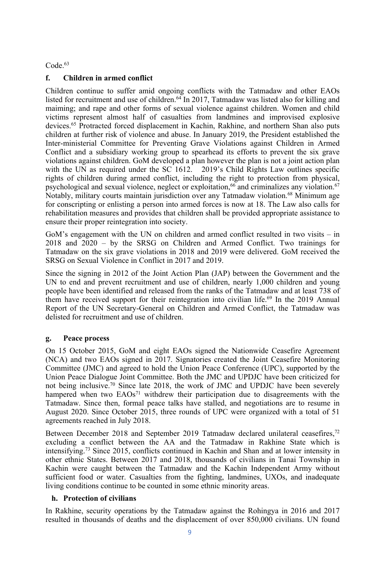Code. 63

### **f. Children in armed conflict**

Children continue to suffer amid ongoing conflicts with the Tatmadaw and other EAOs listed for recruitment and use of children. 64 In 2017, Tatmadaw was listed also for killing and maiming; and rape and other forms of sexual violence against children. Women and child victims represen<sup>t</sup> almost half of casualties from landmines and improvised explosive devices. 65 Protracted forced displacement in Kachin, Rakhine, and northern Shan also puts children at further risk of violence and abuse. In January 2019, the President established the Inter-ministerial Committee for Preventing Grave Violations against Children in Armed Conflict and <sup>a</sup> subsidiary working group to spearhead its efforts to preven<sup>t</sup> the six grave violations against children. GoM developed <sup>a</sup> plan however the plan is not <sup>a</sup> joint action plan with the UN as required under the SC 1612. 2019's Child Rights Law outlines specific rights of children during armed conflict, including the right to protection from physical, psychological and sexual violence, neglect or exploitation,<sup>66</sup> and criminalizes any violation.<sup>67</sup> Notably, military courts maintain jurisdiction over any Tatmadaw violation. <sup>68</sup> Minimum age for conscripting or enlisting <sup>a</sup> person into armed forces is now at 18. The Law also calls for rehabilitation measures and provides that children shall be provided appropriate assistance to ensure their proper reintegration into society.

GoM'<sup>s</sup> engagemen<sup>t</sup> with the UN on children and armed conflict resulted in two visits – in 2018 and 2020 – by the SRSG on Children and Armed Conflict. Two trainings for Tatmadaw on the six grave violations in 2018 and 2019 were delivered. GoM received the SRSG on Sexual Violence in Conflict in 2017 and 2019.

Since the signing in 2012 of the Joint Action Plan (JAP) between the Government and the UN to end and preven<sup>t</sup> recruitment and use of children, nearly 1,000 children and young people have been identified and released from the ranks of the Tatmadaw and at least 738 of them have received support for their reintegration into civilian life.<sup>69</sup> In the 2019 Annual Report of the UN Secretary-General on Children and Armed Conflict, the Tatmadaw was delisted for recruitment and use of children.

### **g. Peace process**

On 15 October 2015, GoM and eight EAOs signed the Nationwide Ceasefire Agreement (NCA) and two EAOs signed in 2017. Signatories created the Joint Ceasefire Monitoring Committee (JMC) and agreed to hold the Union Peace Conference (UPC), supported by the Union Peace Dialogue Joint Committee. Both the JMC and UPDJC have been criticized for not being inclusive. 70 Since late 2018, the work of JMC and UPDJC have been severely hampered when two EAOs<sup>71</sup> withdrew their participation due to disagreements with the Tatmadaw. Since then, formal peace talks have stalled, and negotiations are to resume in August 2020. Since October 2015, three rounds of UPC were organized with <sup>a</sup> total of 51 agreements reached in July 2018.

Between December 2018 and September 2019 Tatmadaw declared unilateral ceasefires,<sup>72</sup> excluding <sup>a</sup> conflict between the AA and the Tatmadaw in Rakhine State which is intensifying. 73 Since 2015, conflicts continued in Kachin and Shan and at lower intensity in other ethnic States. Between 2017 and 2018, thousands of civilians in Tanai Township in Kachin were caught between the Tatmadaw and the Kachin Independent Army without sufficient food or water. Casualties from the fighting, landmines, UXOs, and inadequate living conditions continue to be counted in some ethnic minority areas.

### **h. Protection of civilians**

In Rakhine, security operations by the Tatmadaw against the Rohingya in 2016 and 2017 resulted in thousands of deaths and the displacement of over 850,000 civilians. UN found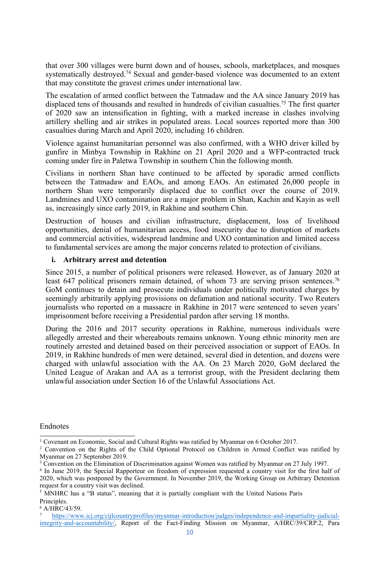that over 300 villages were burnt down and of houses, schools, marketplaces, and mosques systematically destroyed. 74 Sexual and gender-based violence was documented to an extent that may constitute the graves<sup>t</sup> crimes under international law.

The escalation of armed conflict between the Tatmadaw and the AA since January 2019 has displaced tens of thousands and resulted in hundreds of civilian casualties. 75 The first quarter of 2020 saw an intensification in fighting, with <sup>a</sup> marked increase in clashes involving artillery shelling and air strikes in populated areas. Local sources reported more than 300 casualties during March and April 2020, including 16 children.

Violence against humanitarian personnel was also confirmed, with <sup>a</sup> WHO driver killed by gunfire in Minbya Township in Rakhine on 21 April 2020 and <sup>a</sup> WFP-contracted truck coming under fire in Paletwa Township in southern Chin the following month.

Civilians in northern Shan have continued to be affected by sporadic armed conflicts between the Tatmadaw and EAOs, and among EAOs. An estimated 26,000 people in northern Shan were temporarily displaced due to conflict over the course of 2019. Landmines and UXO contamination are <sup>a</sup> major problem in Shan, Kachin and Kayin as well as, increasingly since early 2019, in Rakhine and southern Chin.

Destruction of houses and civilian infrastructure, displacement, loss of livelihood opportunities, denial of humanitarian access, food insecurity due to disruption of markets and commercial activities, widespread landmine and UXO contamination and limited access to fundamental services are among the major concerns related to protection of civilians.

#### **i. Arbitrary arrest and detention**

Since 2015, <sup>a</sup> number of political prisoners were released. However, as of January 2020 at least 647 political prisoners remain detained, of whom 73 are serving prison sentences.<sup>76</sup> GoM continues to detain and prosecute individuals under politically motivated charges by seemingly arbitrarily applying provisions on defamation and national security. Two Reuters journalists who reported on a massacre in Rakhine in 2017 were sentenced to seven years' imprisonment before receiving <sup>a</sup> Presidential pardon after serving 18 months.

During the 2016 and 2017 security operations in Rakhine, numerous individuals were allegedly arrested and their whereabouts remains unknown. Young ethnic minority men are routinely arrested and detained based on their perceived association or suppor<sup>t</sup> of EAOs. In 2019, in Rakhine hundreds of men were detained, several died in detention, and dozens were charged with unlawful association with the AA. On 23 March 2020, GoM declared the United League of Arakan and AA as <sup>a</sup> terrorist group, with the President declaring them unlawful association under Section 16 of the Unlawful Associations Act.

#### Endnotes

<sup>&</sup>lt;sup>1</sup> Covenant on Economic, Social and Cultural Rights was ratified by Myanmar on 6 October 2017.

<sup>&</sup>lt;sup>2</sup> Convention on the Rights of the Child Optional Protocol on Children in Armed Conflict was ratified by Myanmar on 27 September 2019.

<sup>&</sup>lt;sup>3</sup> Convention on the Elimination of Discrimination against Women was ratified by Myanmar on 27 July 1997.

<sup>4</sup> In June 2019, the Special Rapporteur on freedom of expression requested <sup>a</sup> country visit for the first half of 2020, which was postponed by the Government. In November 2019, the Working Group on Arbitrary Detention reques<sup>t</sup> for <sup>a</sup> country visit was declined.

<sup>5</sup> MNHRC has <sup>a</sup> "<sup>B</sup> status", meaning that it is partially compliant with the United Nations Paris Principles.

 $6$  A/HRC/43/59.

<sup>7</sup> [https://www.icj.org/cijlcountryprofiles/myanmar-introduction/judges/independence-and-impartiality-judicial](https://www.icj.org/cijlcountryprofiles/myanmar-introduction/judges/independence-and-impartiality-judicial-integrity-and-accountability/)[integrity-and-accountability/](https://www.icj.org/cijlcountryprofiles/myanmar-introduction/judges/independence-and-impartiality-judicial-integrity-and-accountability/), Report of the Fact-Finding Mission on Myanmar, A/HRC/39/CRP.2, Para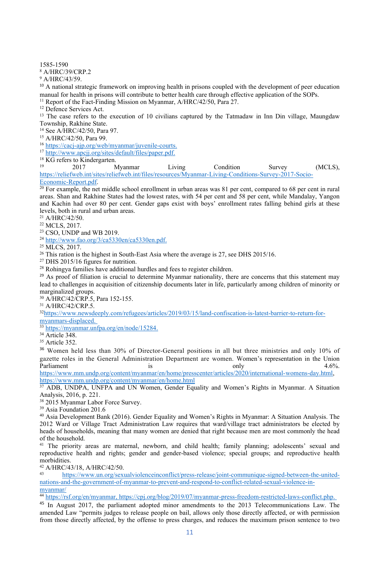1585-1590

<sup>8</sup> A/HRC/39/CRP.2

<sup>9</sup> A/HRC/43/59.

<sup>10</sup> A national strategic framework on improving health in prisons coupled with the development of peer education manual for health in prisons will contribute to better health care through effective application of the SOPs. <sup>11</sup> Report of the Fact-Finding Mission on Myanmar, A/HRC/42/50, Para 27.

<sup>12</sup> Defence Services Act.

<sup>13</sup> The case refers to the execution of 10 civilians captured by the Tatmadaw in Inn Din village, Maungdaw Township, Rakhine State.

14 See A/HRC/42/50, Para 97.

<sup>15</sup> A/HRC/42/50, Para 99.

<sup>16</sup> <https://cacj-ajp.org/web/myanmar/juvenile-courts>.

<sup>17</sup> <http://www.apcjj.org/sites/default/files/paper.pdf>.

<sup>18</sup> KG refers to Kindergarten.<br> $^{19}$  2017 M

19 2017 Myanmar Living Condition Survey (MCLS), [https://reliefweb.int/sites/reliefweb.int/files/resources/Myanmar-Living-Conditions-Survey-2017-Socio-](https://reliefweb.int/sites/reliefweb.int/files/resources/Myanmar-Living-Conditions-Survey-2017-Socio-Economic-Report.pdf)[Economic-Report.pdf](https://reliefweb.int/sites/reliefweb.int/files/resources/Myanmar-Living-Conditions-Survey-2017-Socio-Economic-Report.pdf).

<sup>20</sup> For example, the net middle school enrollment in urban areas was 81 per cent, compared to 68 per cent in rural areas. Shan and Rakhine States had the lowest rates, with 54 per cent and 58 per cent, while Mandalay, Yangon and Kachin had over 80 per cent. Gender gaps exist with boys' enrollment rates falling behind girls at these levels, both in rural and urban areas.

<sup>21</sup> A/HRC/42/50.

<sup>22</sup> MCLS, 2017.

<sup>23</sup> CSO, UNDP and WB 2019.

<sup>24</sup> <http://www.fao.org/3/ca5330en/ca5330en.pdf>.

<sup>25</sup> MLCS, 2017.

<sup>26</sup> This ration is the highest in South-East Asia where the average is 27, see DHS 2015/16.

<sup>27</sup> DHS 2015/16 figures for nutrition.

<sup>28</sup> Rohingya families have additional hurdles and fees to register children.

<sup>29</sup> As proof of filiation is crucial to determine Myanmar nationality, there are concerns that this statement may lead to challenges in acquisition of citizenship documents later in life, particularly among children of minority or marginalized groups.

<sup>30</sup> A/HRC/42/CRP.5, Para 152-155.

<sup>31</sup> A/HRC/42/CRP.5.

32 [https://www.newsdeeply.com/refugees/articles/2019/03/15/land-confiscation-is-latest-barrier-to-return-for](https://www.newsdeeply.com/refugees/articles/2019/03/15/land-confiscation-is-latest-barrier-to-return-for-myanmars-displaced)[myanmars-displaced](https://www.newsdeeply.com/refugees/articles/2019/03/15/land-confiscation-is-latest-barrier-to-return-for-myanmars-displaced).

<sup>33</sup> <https://myanmar.unfpa.org/en/node/15284>.

<sup>34</sup> Article 348.

<sup>35</sup> Article 352.

<sup>36</sup> Women held less than 30% of Director-General positions in all but three ministries and only 10% of gazette roles in the General Administration Department are women. Women'<sup>s</sup> representation in the Union Parliament the contraction of the contraction of the contraction of the contraction of the contraction of the contraction of the contraction of the contraction of the contraction of the contraction of the contraction of th

<https://www.mm.undp.org/content/myanmar/en/home/presscenter/articles/2020/international-womens-day.html>, <https://www.mm.undp.org/content/myanmar/en/home.html>

<sup>37</sup> ADB, UNDPA, UNFPA and UN Women, Gender Equality and Women'<sup>s</sup> Rights in Myanmar. <sup>A</sup> Situation Analysis, 2016, p. 221.

38 2015 Myanmar Labor Force Survey.

<sup>39</sup> Asia Foundation 201.6

<sup>40</sup> Asia Development Bank (2016). Gender Equality and Women'<sup>s</sup> Rights in Myanmar: <sup>A</sup> Situation Analysis. The 2012 Ward or Village Tract Administration Law requires that ward/village tract administrators be elected by heads of households, meaning that many women are denied that right because men are most commonly the head of the household.

<sup>41</sup> The priority areas are maternal, newborn, and child health; family planning; adolescents' sexual and reproductive health and rights; gender and gender-based violence; special groups; and reproductive health morbidities.

<sup>42</sup> A/HRC/43/18, A/HRC/42/50.

43 [https://www.un.org/sexualviolenceinconflict/press-release/joint-communique-signed-between-the-united](https://www.un.org/sexualviolenceinconflict/press-release/joint-communique-signed-between-the-united-nations-and-the-government-of-myanmar-to-prevent-and-respond-to-conflict-related-sexual-violence-in-myanmar/)[nations-and-the-government-of-myanmar-to-prevent-and-respond-to-conflict-related-sexual-violence-in-](https://www.un.org/sexualviolenceinconflict/press-release/joint-communique-signed-between-the-united-nations-and-the-government-of-myanmar-to-prevent-and-respond-to-conflict-related-sexual-violence-in-myanmar/)

[myanmar/](https://www.un.org/sexualviolenceinconflict/press-release/joint-communique-signed-between-the-united-nations-and-the-government-of-myanmar-to-prevent-and-respond-to-conflict-related-sexual-violence-in-myanmar/) 44 <https://rsf.org/en/myanmar>, <https://cpj.org/blog/2019/07/myanmar-press-freedom-restricted-laws-conflict.php>.

<sup>45</sup> In August 2017, the parliament adopted minor amendments to the 2013 Telecommunications Law. The amended Law "permits judges to release people on bail, allows only those directly affected, or with permission from those directly affected, by the offense to press charges, and reduces the maximum prison sentence to two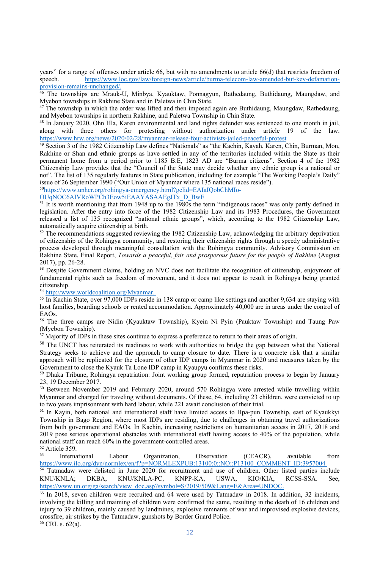years" for <sup>a</sup> range of offenses under article 66, but with no amendments to article 66(d) that restricts freedom of speech. [https://www.loc.gov/law/foreign-news/article/burma-telecom-law-amended-but-key-defamation](https://www.loc.gov/law/foreign-news/article/burma-telecom-law-amended-but-key-defamation-provision-remains-unchanged/)prov[ision-remains-unchanged/](https://www.loc.gov/law/foreign-news/article/burma-telecom-law-amended-but-key-defamation-provision-remains-unchanged/).

46 The townships are Mrauk-U, Minbya, Kyauktaw, Ponnagyun, Rathedaung, Buthidaung, Maungdaw, and Myebon townships in Rakhine State and in Paletwa in Chin State.

<sup>47</sup> The township in which the order was lifted and then imposed again are Buthidaung, Maungdaw, Rathedaung, and Myebon townships in northern Rakhine, and Paletwa Township in Chin State.

<sup>48</sup> In January 2020, Ohn Hla, Karen environmental and land rights defender was sentenced to one month in jail, along with three others for protesting without authorization under article 19 of the law. <https://www.hrw.org/news/2020/02/28/myanmar-release-four-activists-jailed-peaceful-protest>

49 Section 3 of the 1982 Citizenship Law defines "Nationals" as "the Kachin, Kayah, Karen, Chin, Burman, Mon, Rakhine or Shan and ethnic groups as have settled in any of the territories included within the State as their permanen<sup>t</sup> home from <sup>a</sup> period prior to 1185 B.E, 1823 AD are "Burma citizens". Section 4 of the 1982 Citizenship Law provides that the "Council of the State may decide whether any ethnic group is <sup>a</sup> national or not". The list of 135 regularly features in State publication, including for example "The Working People'<sup>s</sup> Daily" issue of 26 September 1990 ("Our Union of Myanmar where 135 national races reside").

<sup>50</sup>[https://www.unhcr.org/rohingya-emergency.html?gclid=EAIaIQobChMIo-](https://www.unhcr.org/rohingya-emergency.html?gclid=EAIaIQobChMIo-OUqNOC6AIVRoWPCh3Eow5iEAAYASAAEgJTx_D_BwE)

[OUqNOC6AIVRoWPCh3Eow5iEAAYASAAEgJTx\\_D\\_BwE](https://www.unhcr.org/rohingya-emergency.html?gclid=EAIaIQobChMIo-OUqNOC6AIVRoWPCh3Eow5iEAAYASAAEgJTx_D_BwE)

<sup>51</sup> It is worth mentioning that from 1948 up to the 1980s the term "indigenous races" was only partly defined in legislation. After the entry into force of the 1982 Citizenship Law and its 1983 Procedures, the Government released <sup>a</sup> list of 135 recognized "national ethnic groups", which, according to the 1982 Citizenship Law, automatically acquire citizenship at birth.

<sup>52</sup> The recommendations suggested reviewing the 1982 Citizenship Law, acknowledging the arbitrary deprivation of citizenship of the Rohingya community, and restoring their citizenship rights through <sup>a</sup> speedy administrative process developed through meaningful consultation with the Rohingya community. Advisory Commission on Rakhine State, Final Report, *Towards <sup>a</sup> peaceful, fair and prosperous future for the people of Rakhine* (August 2017), pp. 26-28.

<sup>53</sup> Despite Government claims, holding an NVC does not facilitate the recognition of citizenship, enjoyment of fundamental rights such as freedom of movement, and it does not appear to result in Rohingya being granted citizenship.

<sup>54</sup> <http://www.worldcoalition.org/Myanmar>.<br><sup>55</sup> In Kachin State, over 97,000 IDPs reside in 138 camp or camp like settings and another 9,634 are staying with host families, boarding schools or rented accommodation. Approximately 40,000 are in areas under the control of EAOs.

<sup>56</sup> The three camps are Nidin (Kyauktaw Township), Kyein Ni Pyin (Pauktaw Township) and Taung Paw (Myebon Township).

<sup>57</sup> Majority of IDPs in these sites continue to express a preference to return to their areas of origin.

<sup>58</sup> The UNCT has reiterated its readiness to work with authorities to bridge the gap between what the National Strategy seeks to achieve and the approach to camp closure to date. There is <sup>a</sup> concrete risk that <sup>a</sup> similar approach will be replicated for the closure of other IDP camps in Myanmar in 2020 and measures taken by the Government to close the Kyauk Ta Lone IDP camp in Kyaupyu confirms these risks.

<sup>59</sup> Dhaka Tribune, Rohingya repatriation: Joint working group formed, repatriation process to begin by January 23, 19 December 2017.

<sup>60</sup> Between November 2019 and February 2020, around 570 Rohingya were arrested while travelling within Myanmar and charged for traveling without documents. Of these, 64, including 23 children, were convicted to up to two years imprisonment with hard labour, while 221 await conclusion of their trial.

<sup>61</sup> In Kayin, both national and international staff have limited access to Hpa-pun Township, east of Kyaukkyi Township in Bago Region, where most IDPs are residing, due to challenges in obtaining travel authorizations from both governmen<sup>t</sup> and EAOs. In Kachin, increasing restrictions on humanitarian access in 2017, 2018 and 2019 pose serious operational obstacles with international staff having access to 40% of the population, while national staff can reach 60% in the government-controlled areas.

<sup>62</sup> Article 359.

63 International Labour Organization, Observation (CEACR), available from [https://www.ilo.org/dyn/normlex/en/f?p=NORMLEXPUB:13100:0::NO::P13100\\_COMMENT\\_ID:3957004](https://www.ilo.org/dyn/normlex/en/f?p=NORMLEXPUB:13100:0::NO::P13100_COMMENT_ID:3957004)

64 Tatmadaw were delisted in June 2020 for recruitment and use of children. Other listed parties include KNU/KNLA; DKBA, KNU/KNLA-PC, KNPP-KA, USWA, KIO/KIA, RCSS-SSA. See, [https://www.un.org/ga/search/view\\_doc.asp?symbol=S/2019/509&Lang=E&Area=UNDOC](https://www.un.org/ga/search/view_doc.asp?symbol=S/2019/509&Lang=E&Area=UNDOC).

65 In 2018, seven children were recruited and 64 were used by Tatmadaw in 2018. In addition, 32 incidents, involving the killing and maiming of children were confirmed the same, resulting in the death of 16 children and injury to 39 children, mainly caused by landmines, explosive remnants of war and improvised explosive devices, crossfire, air strikes by the Tatmadaw, gunshots by Border Guard Police.

<sup>66</sup> CRL s. 62(a).